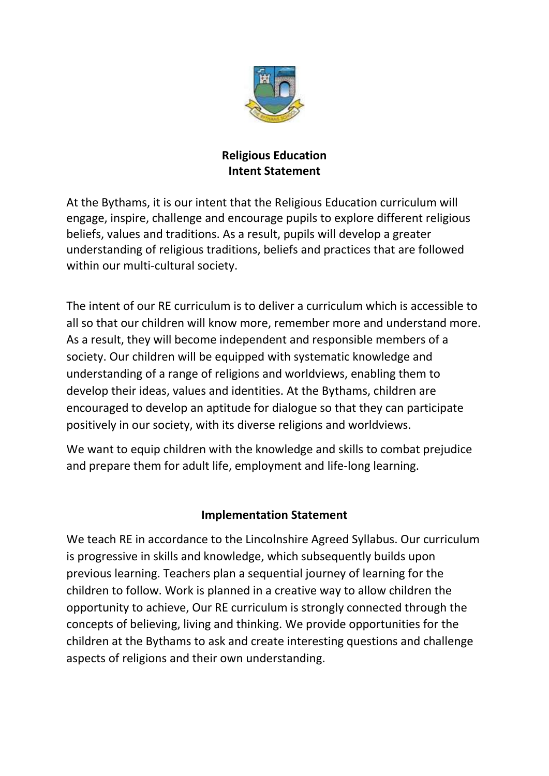

## **Religious Education Intent Statement**

At the Bythams, it is our intent that the Religious Education curriculum will engage, inspire, challenge and encourage pupils to explore different religious beliefs, values and traditions. As a result, pupils will develop a greater understanding of religious traditions, beliefs and practices that are followed within our multi-cultural society.

The intent of our RE curriculum is to deliver a curriculum which is accessible to all so that our children will know more, remember more and understand more. As a result, they will become independent and responsible members of a society. Our children will be equipped with systematic knowledge and understanding of a range of religions and worldviews, enabling them to develop their ideas, values and identities. At the Bythams, children are encouraged to develop an aptitude for dialogue so that they can participate positively in our society, with its diverse religions and worldviews.

We want to equip children with the knowledge and skills to combat prejudice and prepare them for adult life, employment and life-long learning.

## **Implementation Statement**

We teach RE in accordance to the Lincolnshire Agreed Syllabus. Our curriculum is progressive in skills and knowledge, which subsequently builds upon previous learning. Teachers plan a sequential journey of learning for the children to follow. Work is planned in a creative way to allow children the opportunity to achieve, Our RE curriculum is strongly connected through the concepts of believing, living and thinking. We provide opportunities for the children at the Bythams to ask and create interesting questions and challenge aspects of religions and their own understanding.